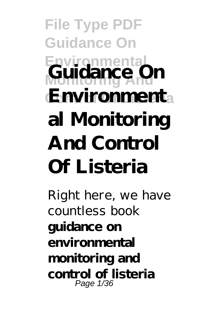**File Type PDF Guidance On Environmental** Guidance On **Environment**a **al Monitoring And Control Of Listeria**

Right here, we have countless book **guidance on environmental monitoring and control of listeria** Page 1/36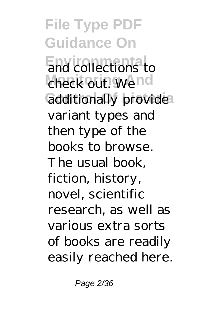**File Type PDF Guidance On End** collections to check out. Wend additionally provide variant types and then type of the books to browse. The usual book, fiction, history, novel, scientific research, as well as various extra sorts of books are readily easily reached here.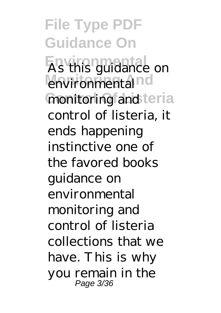**File Type PDF Guidance On Environmental** As this guidance on environmental<sup>nd</sup> monitoring and teria control of listeria, it ends happening instinctive one of the favored books guidance on environmental monitoring and control of listeria collections that we have. This is why you remain in the Page 3/36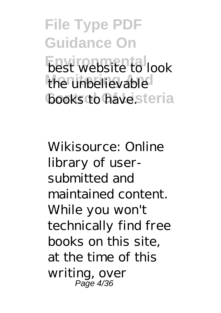**File Type PDF Guidance On Environmental** the unbelievable **books to have steria** 

Wikisource: Online library of usersubmitted and maintained content. While you won't technically find free books on this site, at the time of this writing, over Page 4/36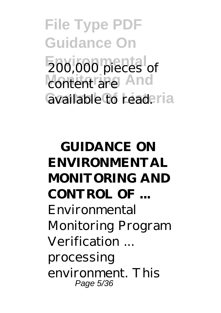**File Type PDF Guidance On Environmental** 200,000 pieces of content are And available to readeria

**GUIDANCE ON ENVIRONMENTAL MONITORING AND CONTROL OF ...** Environmental Monitoring Program Verification ... processing environment. This Page 5/36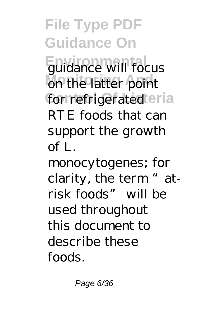**File Type PDF Guidance On Equidance will focus** on the latter point for refrigerated eria RTE foods that can support the growth of L.

monocytogenes; for clarity, the term "atrisk foods" will be used throughout this document to describe these foods.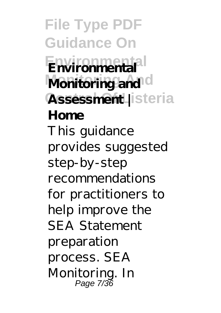**File Type PDF Guidance On Environmental Environmental Monitoring and d Assessment |** steria **Home** This guidance provides suggested step-by-step recommendations for practitioners to help improve the SEA Statement preparation process. SEA Monitoring. In Page 7/36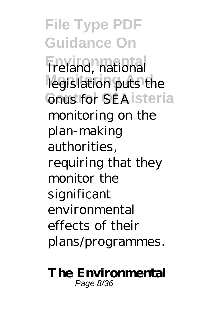**File Type PDF Guidance On Environmental** Ireland, national legislation puts the **Conus for SEA isteria** monitoring on the plan-making authorities, requiring that they monitor the significant environmental effects of their plans/programmes.

## **The Environmental** Page 8/36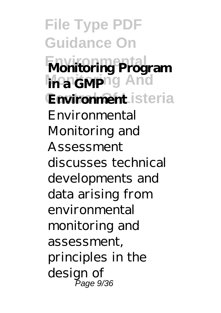**File Type PDF Guidance On Monitoring Program** *In a GMP*ng And Environment isteria Environmental Monitoring and Assessment discusses technical developments and data arising from environmental monitoring and assessment, principles in the design of Page 9/36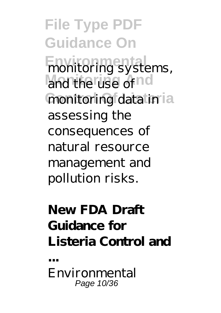**File Type PDF Guidance On Environmental**<br>
monitoring systems, and the use of nd monitoring data in la assessing the consequences of natural resource management and pollution risks.

## **New FDA Draft Guidance for Listeria Control and**

Environmental Page 10/36

**...**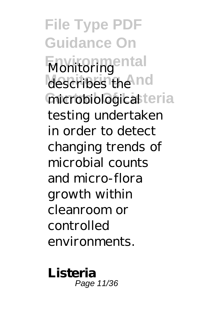**File Type PDF Guidance On Environmental** Monitoring describes the nd microbiological teria testing undertaken in order to detect changing trends of microbial counts and micro-flora growth within cleanroom or controlled environments.

**Listeria** Page 11/36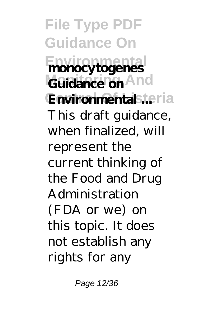**File Type PDF Guidance On Environmental monocytogenes** Guidance on And **Environmental .teria** This draft guidance, when finalized, will represent the current thinking of the Food and Drug Administration (FDA or we) on this topic. It does not establish any rights for any

Page 12/36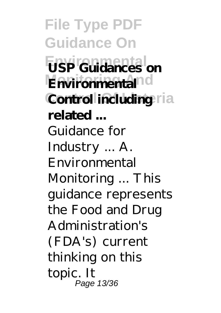**File Type PDF Guidance On Environmental USP Guidances on Environmental**nd **Control including** ria **related ...** Guidance for Industry ... A. Environmental Monitoring ... This guidance represents the Food and Drug Administration's (FDA's) current thinking on this topic. It Page 13/36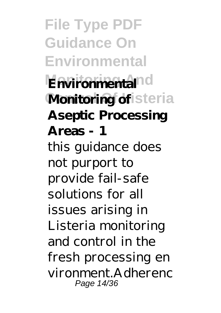**File Type PDF Guidance On Environmental Environmental**nd **Monitoring of** isteria **Aseptic Processing Areas - 1** this guidance does not purport to provide fail-safe solutions for all issues arising in Listeria monitoring and control in the fresh processing en vironment.Adherenc Page 14/36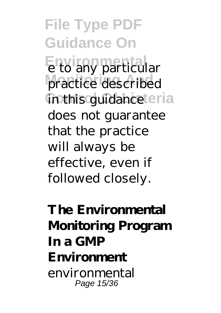**File Type PDF Guidance On Environmental** e to any particular practice described *in this guidance teria* does not guarantee that the practice will always be effective, even if followed closely.

**The Environmental Monitoring Program In a GMP Environment** environmental Page 15/36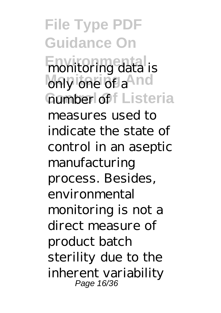**File Type PDF Guidance On Environmental** monitoring data is only one of a<sup>And</sup> Gumber of Listeria measures used to indicate the state of control in an aseptic manufacturing process. Besides, environmental monitoring is not a direct measure of product batch sterility due to the inherent variability Page 16/36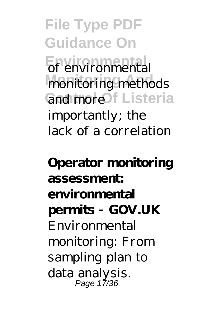**File Type PDF Guidance On Environmental** of environmental monitoring methods GndmoreOf Listeria importantly; the lack of a correlation

**Operator monitoring assessment: environmental permits - GOV.UK** Environmental monitoring: From sampling plan to data analysis. Page 17/36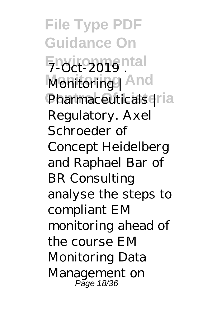**File Type PDF Guidance On Environmental** 7-Oct-2019 . **Monitoring And** Monitoring | Pharmaceuticals | la Regulatory. Axel Schroeder of Concept Heidelberg and Raphael Bar of BR Consulting analyse the steps to compliant EM monitoring ahead of the course EM Monitoring Data Management on Page 18/36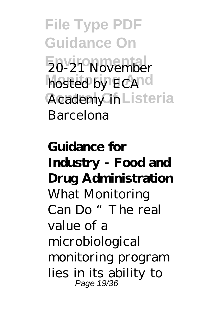**File Type PDF Guidance On Environmental** 20-21 November hosted by ECA<sup>nd</sup> Academy in Listeria Barcelona

**Guidance for Industry - Food and Drug Administration** What Monitoring Can Do "The real value of a microbiological monitoring program lies in its ability to Page 19/36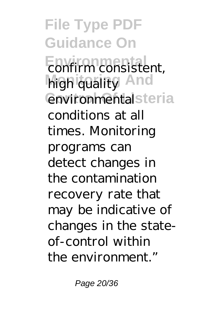**File Type PDF Guidance On Environmental** high quality And **Control Control Control Control** conditions at all times. Monitoring programs can detect changes in the contamination recovery rate that may be indicative of changes in the stateof-control within the environment."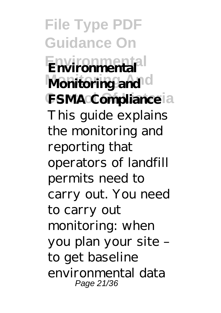**File Type PDF Guidance On Environmental Environmental Monitoring and d FSMA Compliance** la This guide explains the monitoring and reporting that operators of landfill permits need to carry out. You need to carry out monitoring: when you plan your site – to get baseline environmental data Page 21/36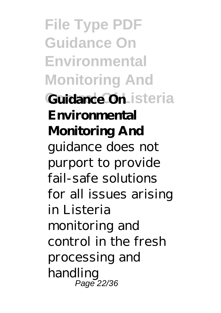**File Type PDF Guidance On Environmental Monitoring And Guidance On Listeria Environmental Monitoring And** guidance does not purport to provide fail-safe solutions for all issues arising in Listeria monitoring and control in the fresh processing and handling Page 22/36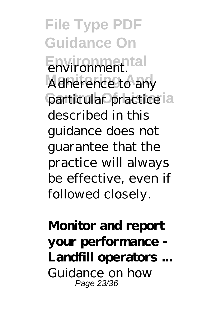**File Type PDF Guidance On Environmental** environment. Adherence to any particular practice ia described in this guidance does not guarantee that the practice will always be effective, even if followed closely.

**Monitor and report your performance - Landfill operators ...** Guidance on how Page 23/36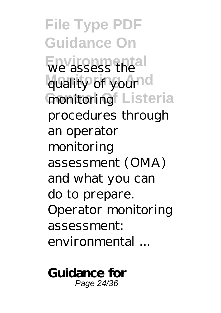**File Type PDF Guidance On Environmental** we assess the quality of your<sup>nd</sup> **monitoring** Listeria procedures through an operator monitoring assessment (OMA) and what you can do to prepare. Operator monitoring assessment: environmental ...

**Guidance for** Page 24/36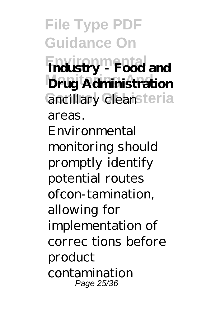**File Type PDF Guidance On Environmental Industry - Food and Drug Administration** ancillary cleansteria areas. Environmental monitoring should promptly identify potential routes ofcon-tamination, allowing for implementation of correc tions before product contamination Page 25/36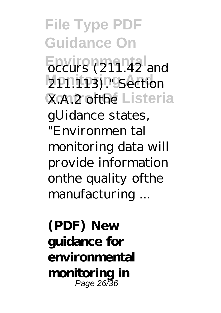**File Type PDF Guidance On Environmental** and **2P1.1P3)."** Section **X.A.2 ofthe Listeria** gUidance states, "Environmen tal monitoring data will provide information onthe quality ofthe manufacturing ...

**(PDF) New guidance for environmental monitoring in** Page 26/36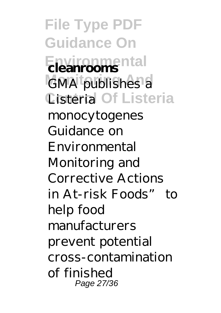**File Type PDF Guidance On Environmental cleanrooms GMA** publishes a Cisteria Of Listeria monocytogenes Guidance on Environmental Monitoring and Corrective Actions in At-risk Foods" to help food manufacturers prevent potential cross-contamination of finished Page 27/36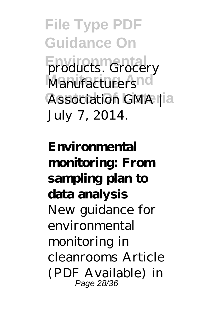**File Type PDF Guidance On Environmental Products.** Grocery **Manufacturers** Association GMA | a July 7, 2014.

**Environmental monitoring: From sampling plan to data analysis** New guidance for environmental monitoring in cleanrooms Article (PDF Available) in Page 28/36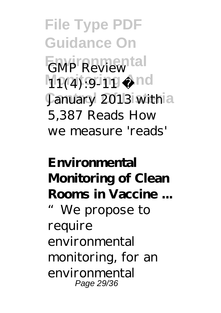**File Type PDF Guidance On Environmental** GMP Review **Mpgiging And January 2013** withia 5,387 Reads How we measure 'reads'

**Environmental Monitoring of Clean Rooms in Vaccine ...** "We propose to require environmental monitoring, for an environmental Page 29/36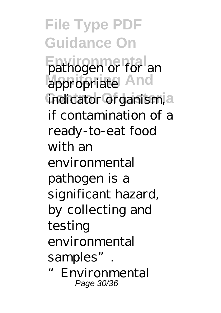**File Type PDF Guidance On Environmental** pathogen or for an appropriate And indicator organism, a if contamination of a ready-to-eat food with an environmental pathogen is a significant hazard, by collecting and testing environmental samples". **Environmental** Page 30/36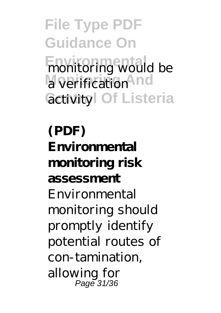**File Type PDF Guidance On Environmental** behind a verification **And Gctivity** Of Listeria

**(PDF) Environmental monitoring risk assessment** Environmental monitoring should promptly identify potential routes of con-tamination, allowing for Page 31/36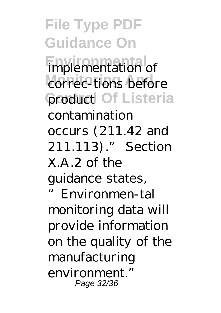**File Type PDF Guidance On Emplementation** of correc-tions before **Control Of Listeria** contamination occurs (211.42 and 211.113)." Section  $X A 2 of the$ guidance states, "Environmen-tal monitoring data will provide information on the quality of the manufacturing environment." Page 32/36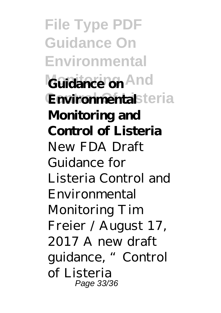**File Type PDF Guidance On Environmental** Guidance on And **Environmental**steria **Monitoring and Control of Listeria** New FDA Draft Guidance for Listeria Control and Environmental Monitoring Tim Freier / August 17, 2017 A new draft guidance, "Control of Listeria Page 33/36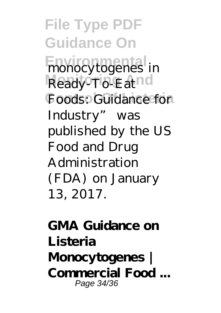**File Type PDF Guidance On Environmental** monocytogenes in Ready<sup>o</sup>To-Eatnd Foods: Guidance for Industry" was published by the US Food and Drug Administration (FDA) on January 13, 2017.

## **GMA Guidance on Listeria Monocytogenes | Commercial Food ...** Page 34/36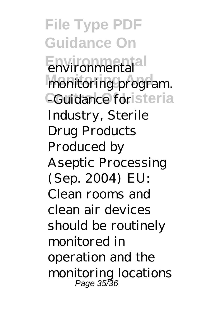**File Type PDF Guidance On Environmental** environmental monitoring program. CGuidance foristeria Industry, Sterile Drug Products Produced by Aseptic Processing (Sep. 2004) EU: Clean rooms and clean air devices should be routinely monitored in operation and the monitoring locations Page 35/36